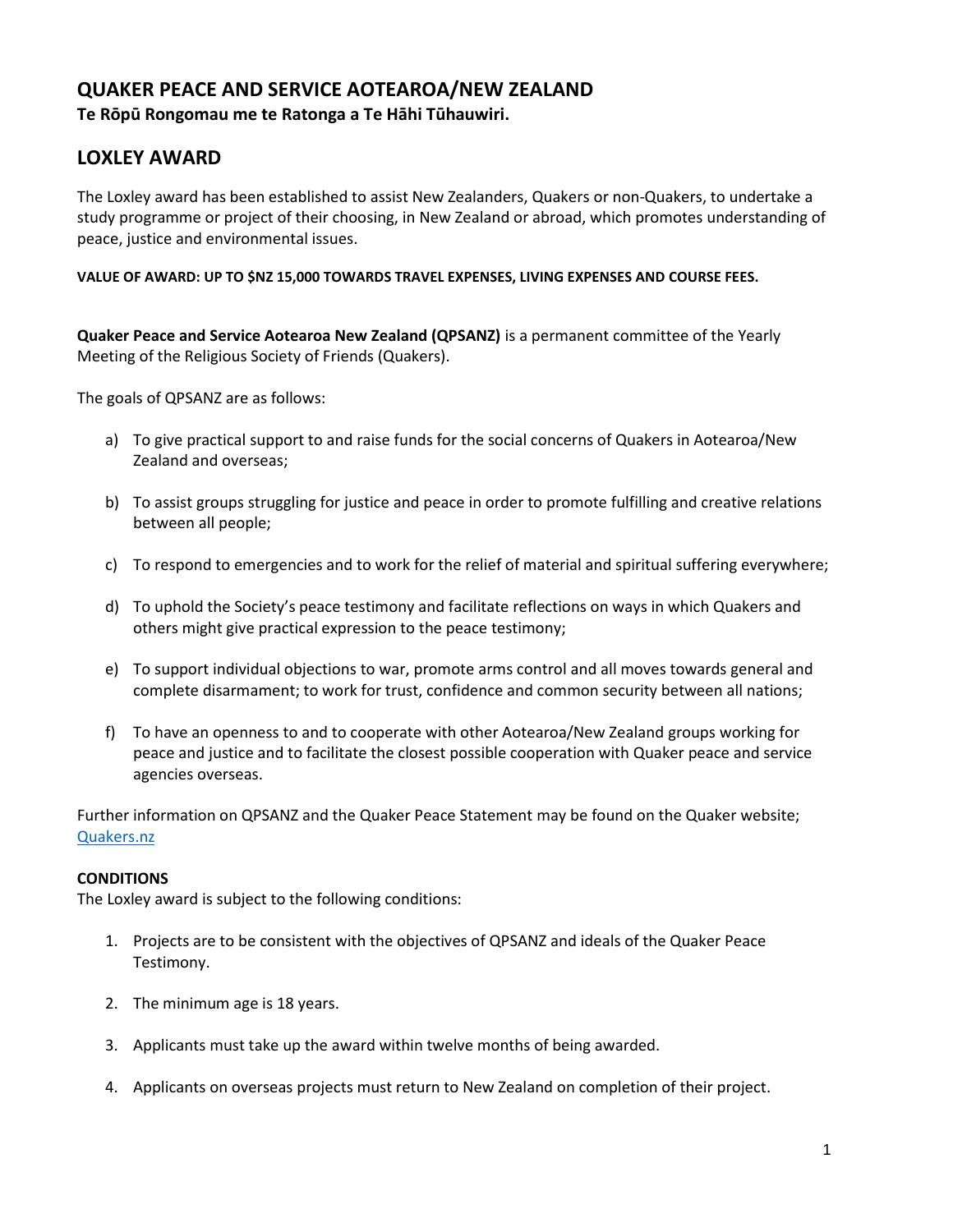## **QUAKER PEACE AND SERVICE AOTEAROA/NEW ZEALAND Te Rōpū Rongomau me te Ratonga a Te Hāhi Tūhauwiri.**

## **LOXLEY AWARD**

The Loxley award has been established to assist New Zealanders, Quakers or non-Quakers, to undertake a study programme or project of their choosing, in New Zealand or abroad, which promotes understanding of peace, justice and environmental issues.

**VALUE OF AWARD: UP TO \$NZ 15,000 TOWARDS TRAVEL EXPENSES, LIVING EXPENSES AND COURSE FEES.**

**Quaker Peace and Service Aotearoa New Zealand (QPSANZ)** is a permanent committee of the Yearly Meeting of the Religious Society of Friends (Quakers).

The goals of QPSANZ are as follows:

- a) To give practical support to and raise funds for the social concerns of Quakers in Aotearoa/New Zealand and overseas;
- b) To assist groups struggling for justice and peace in order to promote fulfilling and creative relations between all people;
- c) To respond to emergencies and to work for the relief of material and spiritual suffering everywhere;
- d) To uphold the Society's peace testimony and facilitate reflections on ways in which Quakers and others might give practical expression to the peace testimony;
- e) To support individual objections to war, promote arms control and all moves towards general and complete disarmament; to work for trust, confidence and common security between all nations;
- f) To have an openness to and to cooperate with other Aotearoa/New Zealand groups working for peace and justice and to facilitate the closest possible cooperation with Quaker peace and service agencies overseas.

Further information on QPSANZ and the Quaker Peace Statement may be found on the Quaker website; [Quakers.nz](https://quakers.nz/)

#### **CONDITIONS**

The Loxley award is subject to the following conditions:

- 1. Projects are to be consistent with the objectives of QPSANZ and ideals of the Quaker Peace Testimony.
- 2. The minimum age is 18 years.
- 3. Applicants must take up the award within twelve months of being awarded.
- 4. Applicants on overseas projects must return to New Zealand on completion of their project.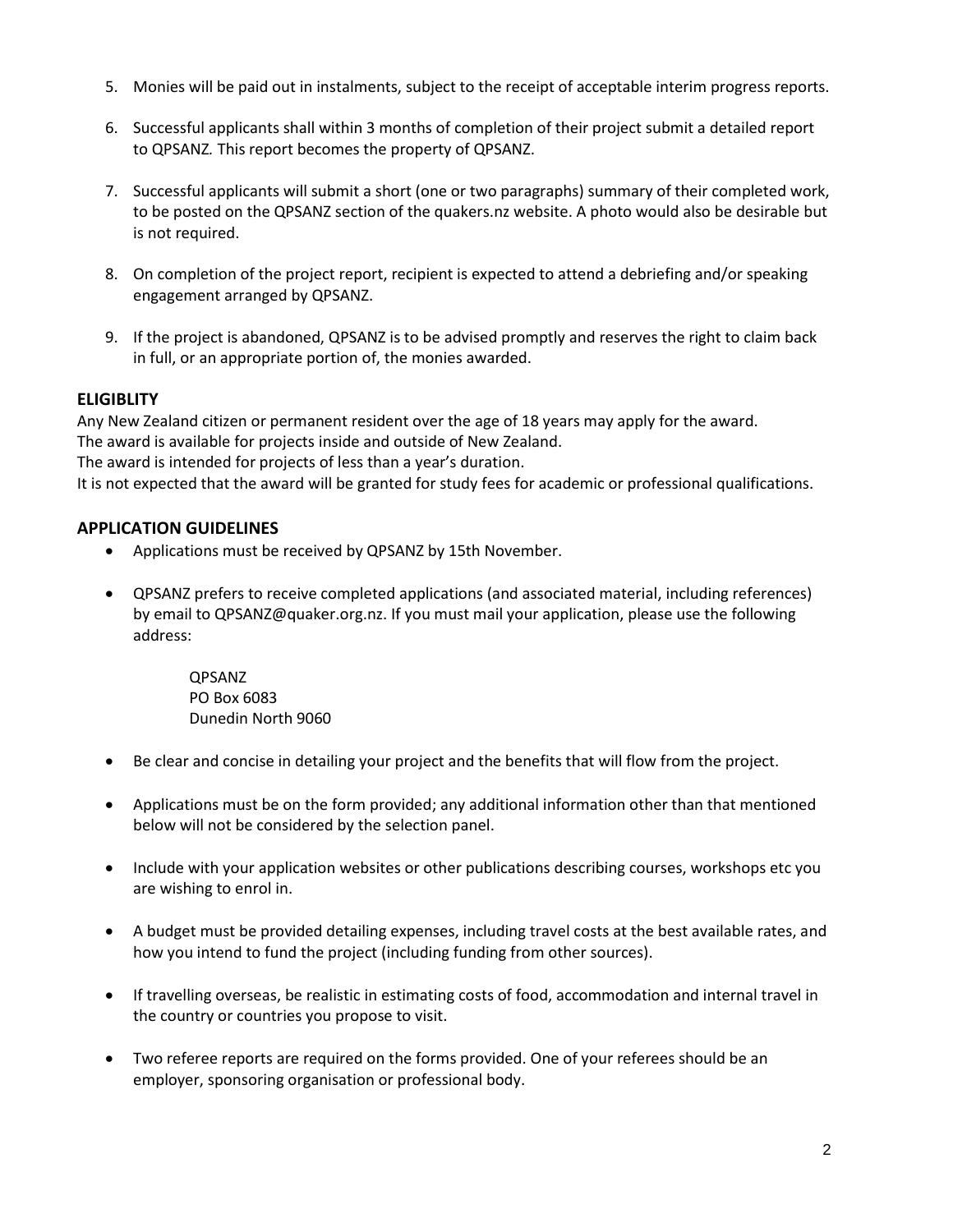- 5. Monies will be paid out in instalments, subject to the receipt of acceptable interim progress reports.
- 6. Successful applicants shall within 3 months of completion of their project submit a detailed report to QPSANZ*.* This report becomes the property of QPSANZ.
- 7. Successful applicants will submit a short (one or two paragraphs) summary of their completed work, to be posted on the QPSANZ section of the quakers.nz website. A photo would also be desirable but is not required.
- 8. On completion of the project report, recipient is expected to attend a debriefing and/or speaking engagement arranged by QPSANZ.
- 9. If the project is abandoned, QPSANZ is to be advised promptly and reserves the right to claim back in full, or an appropriate portion of, the monies awarded.

## **ELIGIBLITY**

Any New Zealand citizen or permanent resident over the age of 18 years may apply for the award. The award is available for projects inside and outside of New Zealand. The award is intended for projects of less than a year's duration.

It is not expected that the award will be granted for study fees for academic or professional qualifications.

## **APPLICATION GUIDELINES**

- Applications must be received by QPSANZ by 15th November.
- QPSANZ prefers to receive completed applications (and associated material, including references) by email to QPSANZ@quaker.org.nz. If you must mail your application, please use the following address:

QPSANZ PO Box 6083 Dunedin North 9060

- Be clear and concise in detailing your project and the benefits that will flow from the project.
- Applications must be on the form provided; any additional information other than that mentioned below will not be considered by the selection panel.
- Include with your application websites or other publications describing courses, workshops etc you are wishing to enrol in.
- A budget must be provided detailing expenses, including travel costs at the best available rates, and how you intend to fund the project (including funding from other sources).
- If travelling overseas, be realistic in estimating costs of food, accommodation and internal travel in the country or countries you propose to visit.
- Two referee reports are required on the forms provided. One of your referees should be an employer, sponsoring organisation or professional body.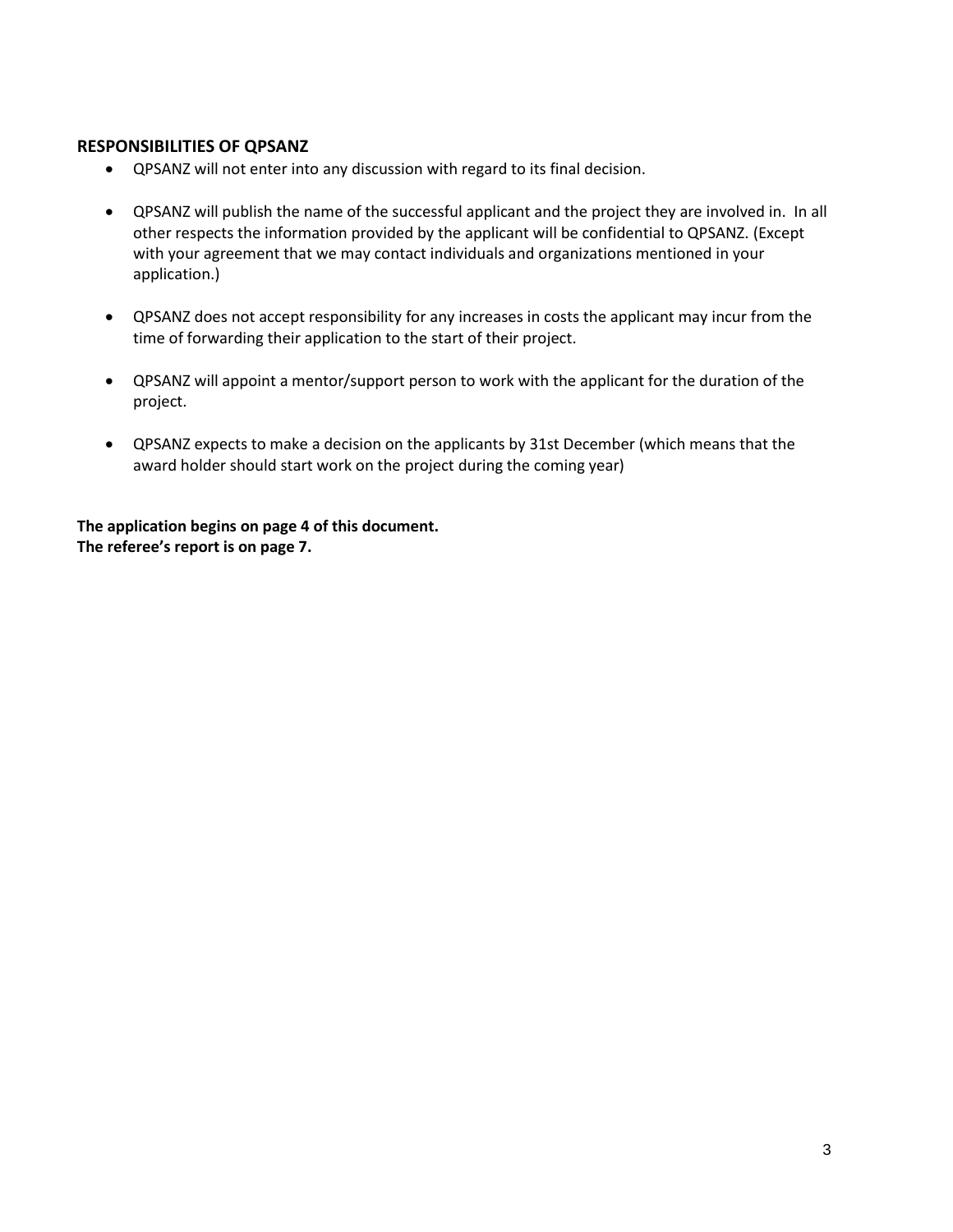#### **RESPONSIBILITIES OF QPSANZ**

- QPSANZ will not enter into any discussion with regard to its final decision.
- QPSANZ will publish the name of the successful applicant and the project they are involved in. In all other respects the information provided by the applicant will be confidential to QPSANZ. (Except with your agreement that we may contact individuals and organizations mentioned in your application.)
- QPSANZ does not accept responsibility for any increases in costs the applicant may incur from the time of forwarding their application to the start of their project.
- QPSANZ will appoint a mentor/support person to work with the applicant for the duration of the project.
- QPSANZ expects to make a decision on the applicants by 31st December (which means that the award holder should start work on the project during the coming year)

**The application begins on page 4 of this document. The referee's report is on page 7.**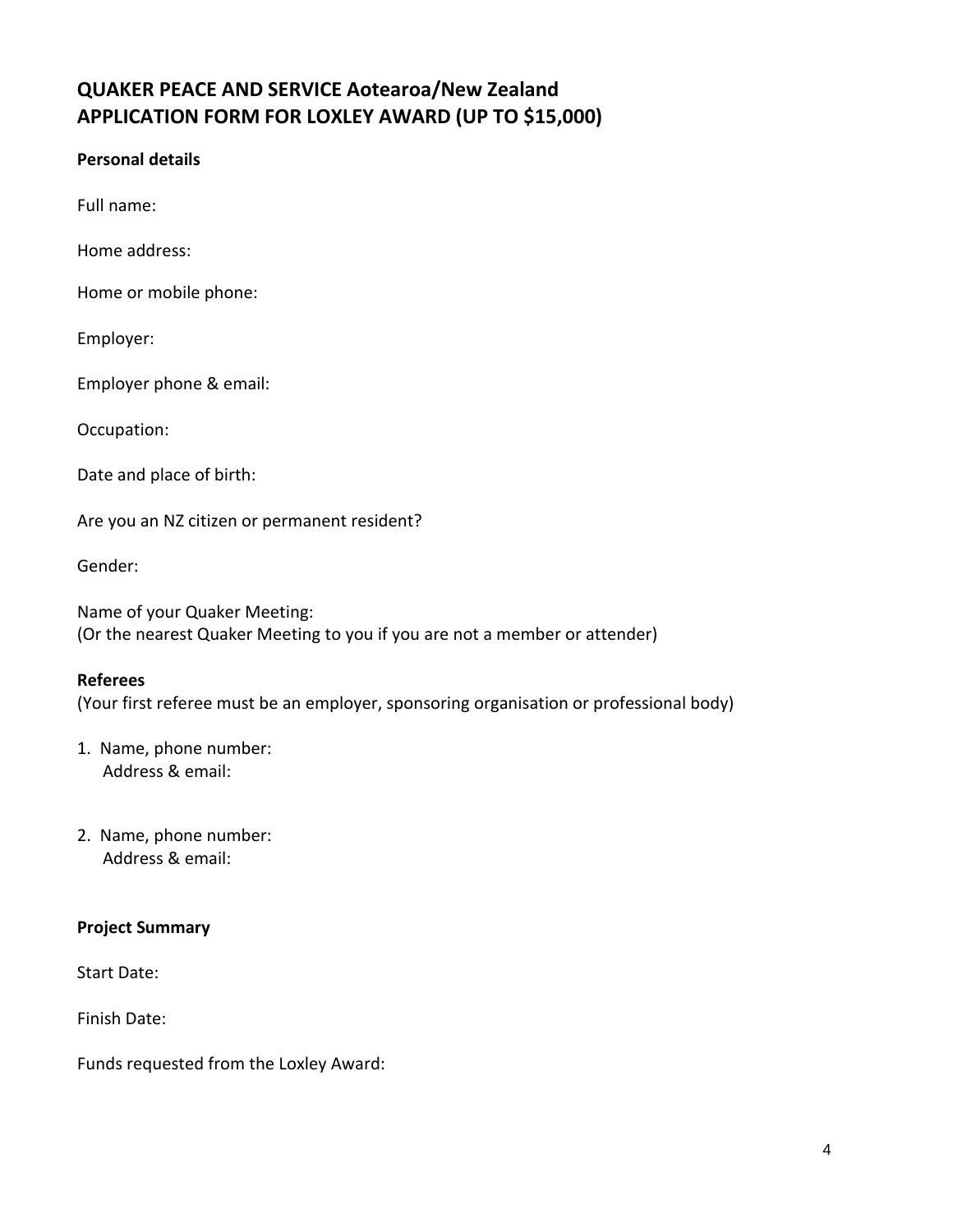# **QUAKER PEACE AND SERVICE Aotearoa/New Zealand APPLICATION FORM FOR LOXLEY AWARD (UP TO \$15,000)**

## **Personal details**

Full name:

Home address:

Home or mobile phone:

Employer:

Employer phone & email:

Occupation:

Date and place of birth:

Are you an NZ citizen or permanent resident?

Gender:

Name of your Quaker Meeting: (Or the nearest Quaker Meeting to you if you are not a member or attender)

#### **Referees**

(Your first referee must be an employer, sponsoring organisation or professional body)

- 1. Name, phone number: Address & email:
- 2. Name, phone number: Address & email:

#### **Project Summary**

Start Date:

Finish Date:

Funds requested from the Loxley Award: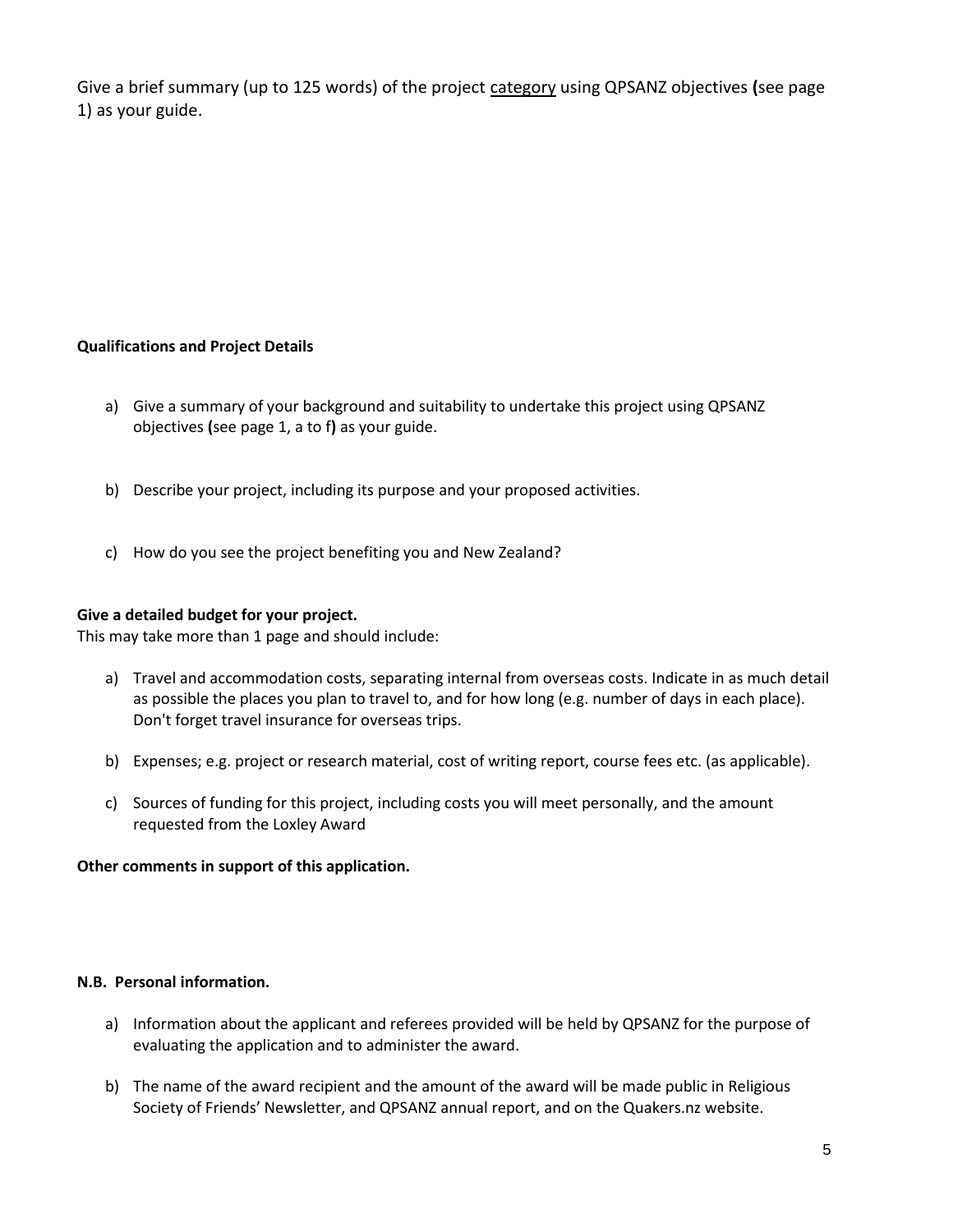Give a brief summary (up to 125 words) of the project category using QPSANZ objectives **(**see page 1) as your guide.

## **Qualifications and Project Details**

- a) Give a summary of your background and suitability to undertake this project using QPSANZ objectives **(**see page 1, a to f**)** as your guide.
- b) Describe your project, including its purpose and your proposed activities.
- c) How do you see the project benefiting you and New Zealand?

#### **Give a detailed budget for your project.**

This may take more than 1 page and should include:

- a) Travel and accommodation costs, separating internal from overseas costs. Indicate in as much detail as possible the places you plan to travel to, and for how long (e.g. number of days in each place). Don't forget travel insurance for overseas trips.
- b) Expenses; e.g. project or research material, cost of writing report, course fees etc. (as applicable).
- c) Sources of funding for this project, including costs you will meet personally, and the amount requested from the Loxley Award

#### **Other comments in support of this application.**

#### **N.B. Personal information.**

- a) Information about the applicant and referees provided will be held by QPSANZ for the purpose of evaluating the application and to administer the award.
- b) The name of the award recipient and the amount of the award will be made public in Religious Society of Friends' Newsletter, and QPSANZ annual report, and on the Quakers.nz website.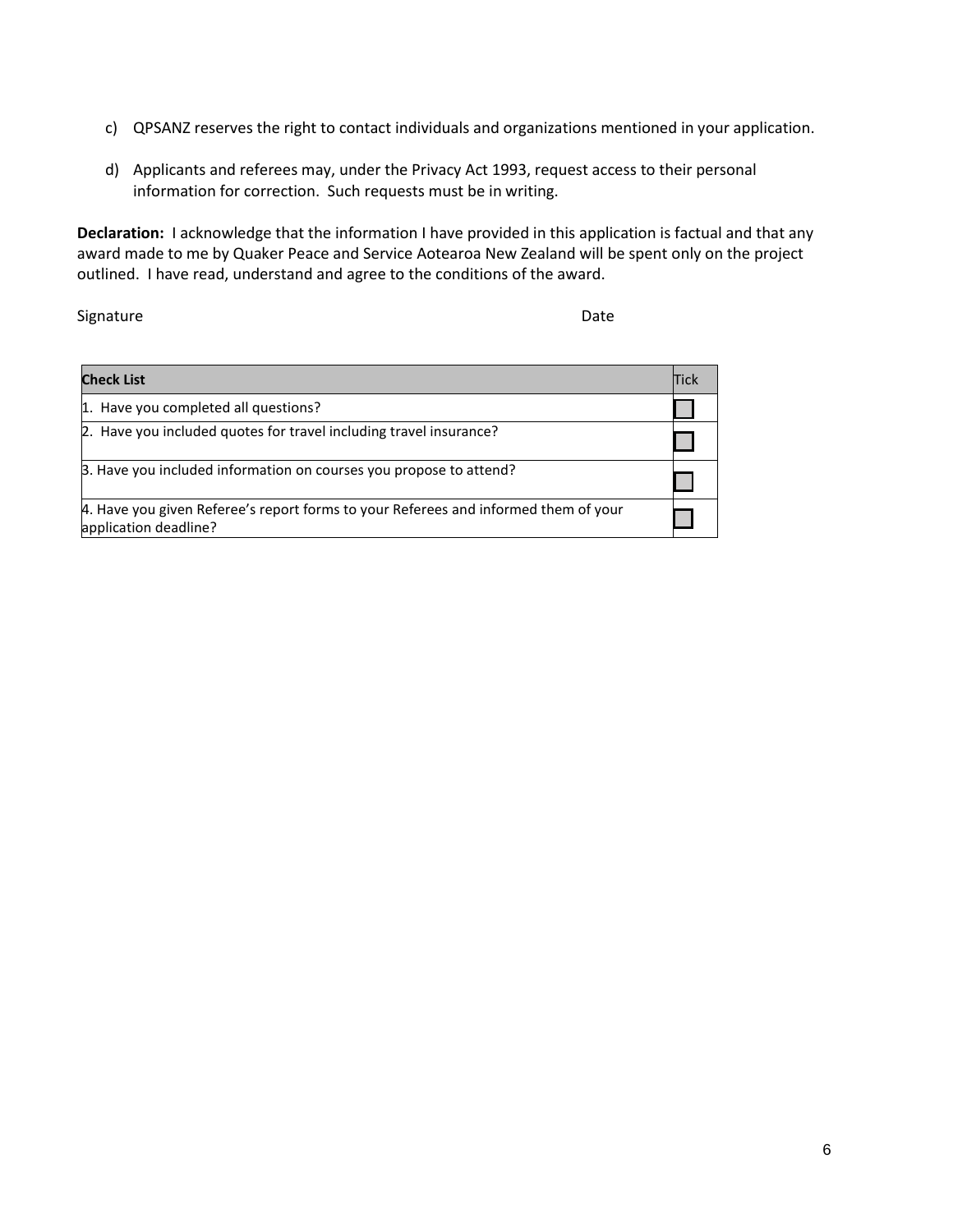- c) QPSANZ reserves the right to contact individuals and organizations mentioned in your application.
- d) Applicants and referees may, under the Privacy Act 1993, request access to their personal information for correction. Such requests must be in writing.

**Declaration:** I acknowledge that the information I have provided in this application is factual and that any award made to me by Quaker Peace and Service Aotearoa New Zealand will be spent only on the project outlined. I have read, understand and agree to the conditions of the award.

Signature Date Date Communications and Date Date Date

| <b>Check List</b>                                                                                            | <b>Tick</b> |
|--------------------------------------------------------------------------------------------------------------|-------------|
| 1. Have you completed all questions?                                                                         |             |
| 2. Have you included quotes for travel including travel insurance?                                           |             |
| B. Have you included information on courses you propose to attend?                                           |             |
| 4. Have you given Referee's report forms to your Referees and informed them of your<br>application deadline? |             |